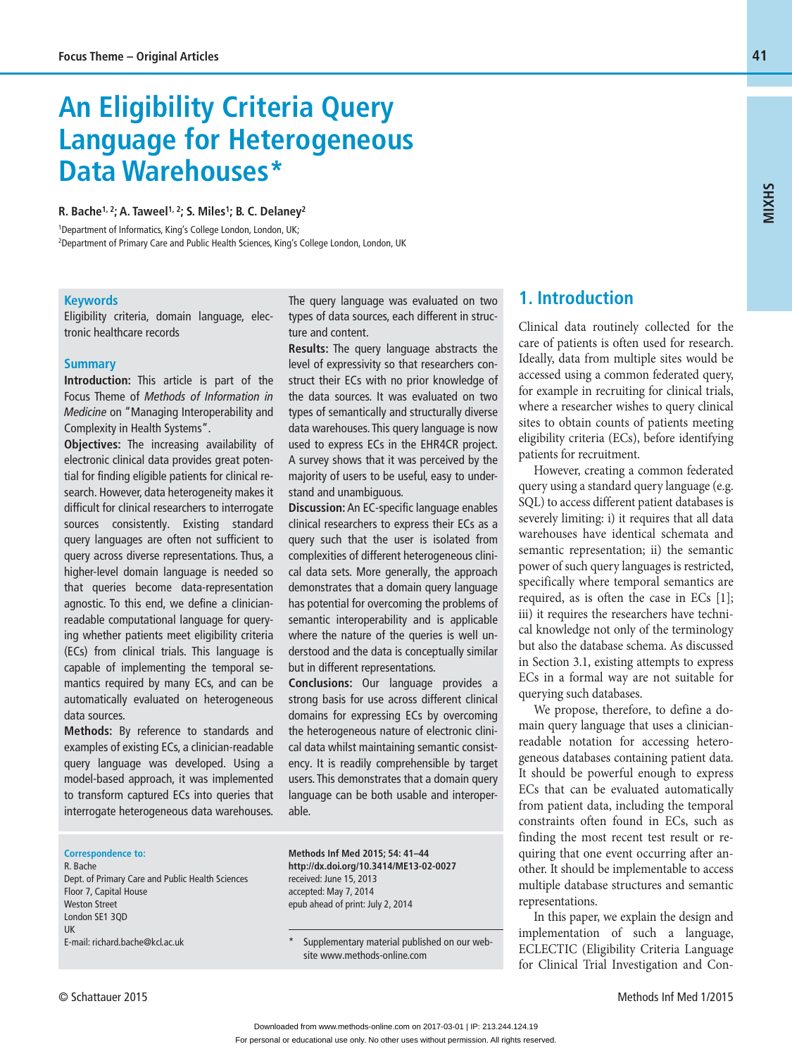# **An Eligibility Criteria Query Language for Heterogeneous Data Warehouses\***

#### **R. Bache1, 2; A. Taweel1, 2; S. Miles1; B. C. Delaney2**

1 Department of Informatics, King's College London, London, UK; 2 Department of Primary Care and Public Health Sciences, King's College London, London, UK

#### **Keywords**

Eligibility criteria, domain language, electronic healthcare records

#### **Summary**

**Introduction:** This article is part of the Focus Theme of *Methods of Information in Medicine* on "Managing Interoperability and Complexity in Health Systems".

**Objectives:** The increasing availability of electronic clinical data provides great potential for finding eligible patients for clinical research. However, data heterogeneity makes it difficult for clinical researchers to interrogate sources consistently. Existing standard query languages are often not sufficient to query across diverse representations. Thus, a higher-level domain language is needed so that queries become data-representation agnostic. To this end, we define a clinicianreadable computational language for querying whether patients meet eligibility criteria (ECs) from clinical trials. This language is capable of implementing the temporal semantics required by many ECs, and can be automatically evaluated on heterogeneous data sources.

**Methods:** By reference to standards and examples of existing ECs, a clinician-readable query language was developed. Using a model-based approach, it was implemented to transform captured ECs into queries that interrogate heterogeneous data warehouses.

The query language was evaluated on two types of data sources, each different in structure and content.

**Results:** The query language abstracts the level of expressivity so that researchers construct their ECs with no prior knowledge of the data sources. It was evaluated on two types of semantically and structurally diverse data warehouses. This query language is now used to express ECs in the EHR4CR project. A survey shows that it was perceived by the majority of users to be useful, easy to understand and unambiguous.

**Discussion:** An EC-specific language enables clinical researchers to express their ECs as a query such that the user is isolated from complexities of different heterogeneous clinical data sets. More generally, the approach demonstrates that a domain query language has potential for overcoming the problems of semantic interoperability and is applicable where the nature of the queries is well understood and the data is conceptually similar but in different representations.

**Conclusions:** Our language provides a strong basis for use across different clinical domains for expressing ECs by overcoming the heterogeneous nature of electronic clinical data whilst maintaining semantic consistency. It is readily comprehensible by target users. This demonstrates that a domain query language can be both usable and interoperable.

#### **Correspondence to:**

R. Bache Dept. of Primary Care and Public Health Sciences Floor 7, Capital House Weston Street London SE1 3QD UK E-mail: richard.bache@kcl.ac.uk

**Methods Inf Med 2015; 54: 41–44 http://dx.doi.org/10.3414/ME13-02-0027** received: June 15, 2013 accepted: May 7, 2014 epub ahead of print: July 2, 2014

Supplementary material published on our website www.methods-online.com

## **1. Introduction**

Clinical data routinely collected for the care of patients is often used for research. Ideally, data from multiple sites would be accessed using a common federated query, for example in recruiting for clinical trials, where a researcher wishes to query clinical sites to obtain counts of patients meeting eligibility criteria (ECs), before identifying patients for recruitment.

However, creating a common federated query using a standard query language (e.g. SQL) to access different patient databases is severely limiting: i) it requires that all data warehouses have identical schemata and semantic representation; ii) the semantic power of such query languages is restricted, specifically where temporal semantics are required, as is often the case in ECs [1]; iii) it requires the researchers have technical knowledge not only of the terminology but also the database schema. As discussed in Section 3.1, existing attempts to express ECs in a formal way are not suitable for querying such databases.

We propose, therefore, to define a domain query language that uses a clinicianreadable notation for accessing heterogeneous databases containing patient data. It should be powerful enough to express ECs that can be evaluated automatically from patient data, including the temporal constraints often found in ECs, such as finding the most recent test result or requiring that one event occurring after another. It should be implementable to access multiple database structures and semantic representations.

In this paper, we explain the design and implementation of such a language, ECLECTIC (Eligibility Criteria Language for Clinical Trial Investigation and Con**MIXHS**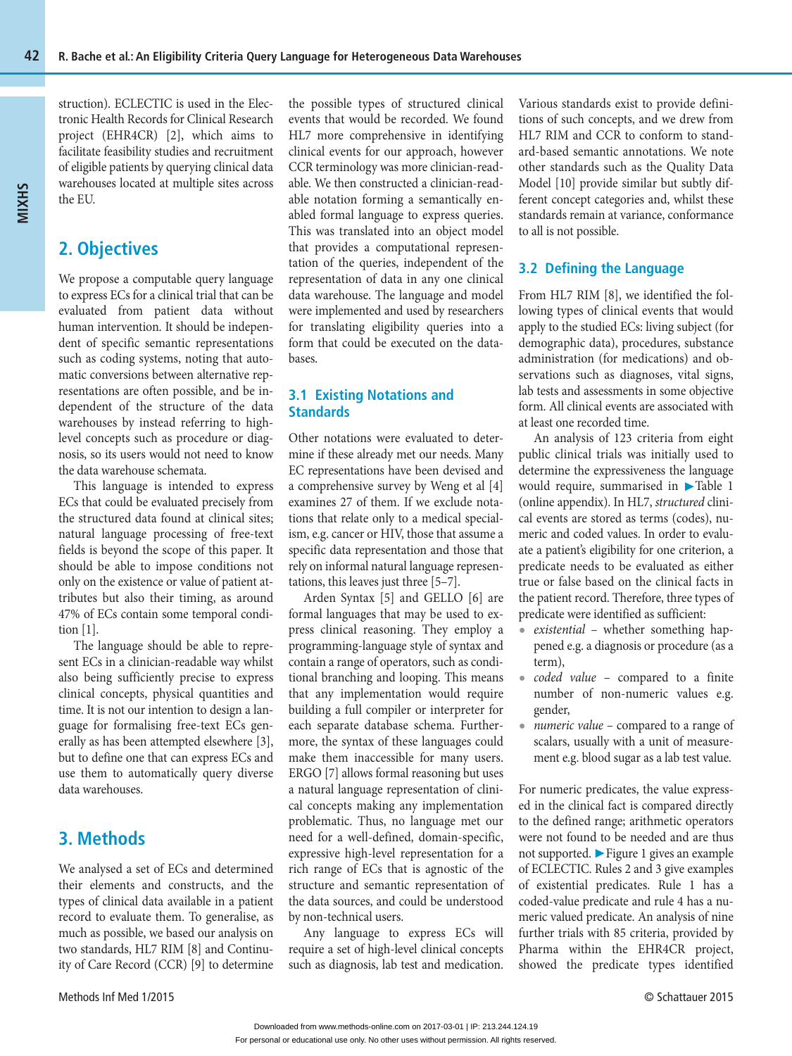struction). ECLECTIC is used in the Electronic Health Records for Clinical Research project (EHR4CR) [2], which aims to facilitate feasibility studies and recruitment of eligible patients by querying clinical data warehouses located at multiple sites across the EU.

# **2. Objectives**

We propose a computable query language to express ECs for a clinical trial that can be evaluated from patient data without human intervention. It should be independent of specific semantic representations such as coding systems, noting that automatic conversions between alternative representations are often possible, and be independent of the structure of the data warehouses by instead referring to highlevel concepts such as procedure or diagnosis, so its users would not need to know the data warehouse schemata.

This language is intended to express ECs that could be evaluated precisely from the structured data found at clinical sites; natural language processing of free-text fields is beyond the scope of this paper. It should be able to impose conditions not only on the existence or value of patient attributes but also their timing, as around 47% of ECs contain some temporal condition [1].

The language should be able to represent ECs in a clinician-readable way whilst also being sufficiently precise to express clinical concepts, physical quantities and time. It is not our intention to design a language for formalising free-text ECs generally as has been attempted elsewhere [3], but to define one that can express ECs and use them to automatically query diverse data warehouses.

## **3. Methods**

We analysed a set of ECs and determined their elements and constructs, and the types of clinical data available in a patient record to evaluate them. To generalise, as much as possible, we based our analysis on two standards, HL7 RIM [8] and Continuity of Care Record (CCR) [9] to determine the possible types of structured clinical events that would be recorded. We found HL7 more comprehensive in identifying clinical events for our approach, however CCR terminology was more clinician-readable. We then constructed a clinician-readable notation forming a semantically enabled formal language to express queries. This was translated into an object model that provides a computational representation of the queries, independent of the representation of data in any one clinical data warehouse. The language and model were implemented and used by researchers for translating eligibility queries into a form that could be executed on the databases.

## **3.1 Existing Notations and Standards**

Other notations were evaluated to determine if these already met our needs. Many EC representations have been devised and a comprehensive survey by Weng et al [4] examines 27 of them. If we exclude notations that relate only to a medical specialism, e.g. cancer or HIV, those that assume a specific data representation and those that rely on informal natural language representations, this leaves just three [5–7].

Arden Syntax [5] and GELLO [6] are formal languages that may be used to express clinical reasoning. They employ a programming-language style of syntax and contain a range of operators, such as conditional branching and looping. This means that any implementation would require building a full compiler or interpreter for each separate database schema. Furthermore, the syntax of these languages could make them inaccessible for many users. ERGO [7] allows formal reasoning but uses a natural language representation of clinical concepts making any implementation problematic. Thus, no language met our need for a well-defined, domain-specific, expressive high-level representation for a rich range of ECs that is agnostic of the structure and semantic representation of the data sources, and could be understood by non-technical users.

Any language to express ECs will require a set of high-level clinical concepts such as diagnosis, lab test and medication. Various standards exist to provide definitions of such concepts, and we drew from HL7 RIM and CCR to conform to standard-based semantic annotations. We note other standards such as the Quality Data Model [10] provide similar but subtly different concept categories and, whilst these standards remain at variance, conformance to all is not possible.

### **3.2 Defining the Language**

From HL7 RIM [8], we identified the following types of clinical events that would apply to the studied ECs: living subject (for demographic data), procedures, substance administration (for medications) and observations such as diagnoses, vital signs, lab tests and assessments in some objective form. All clinical events are associated with at least one recorded time.

An analysis of 123 criteria from eight public clinical trials was initially used to determine the expressiveness the language would require, summarised in ▶Table 1 (online appendix). In HL7, *structured* clinical events are stored as terms (codes), numeric and coded values. In order to evaluate a patient's eligibility for one criterion, a predicate needs to be evaluated as either true or false based on the clinical facts in the patient record. Therefore, three types of predicate were identified as sufficient:

- **•** *existential* whether something happened e.g. a diagnosis or procedure (as a term),
- **•** *coded value*  compared to a finite number of non-numeric values e.g. gender,
- **•** *numeric value* compared to a range of scalars, usually with a unit of measurement e.g. blood sugar as a lab test value.

For numeric predicates, the value expressed in the clinical fact is compared directly to the defined range; arithmetic operators were not found to be needed and are thus not supported. ▶ Figure 1 gives an example of ECLECTIC. Rules 2 and 3 give examples of existential predicates. Rule 1 has a coded-value predicate and rule 4 has a numeric valued predicate. An analysis of nine further trials with 85 criteria, provided by Pharma within the EHR4CR project, showed the predicate types identified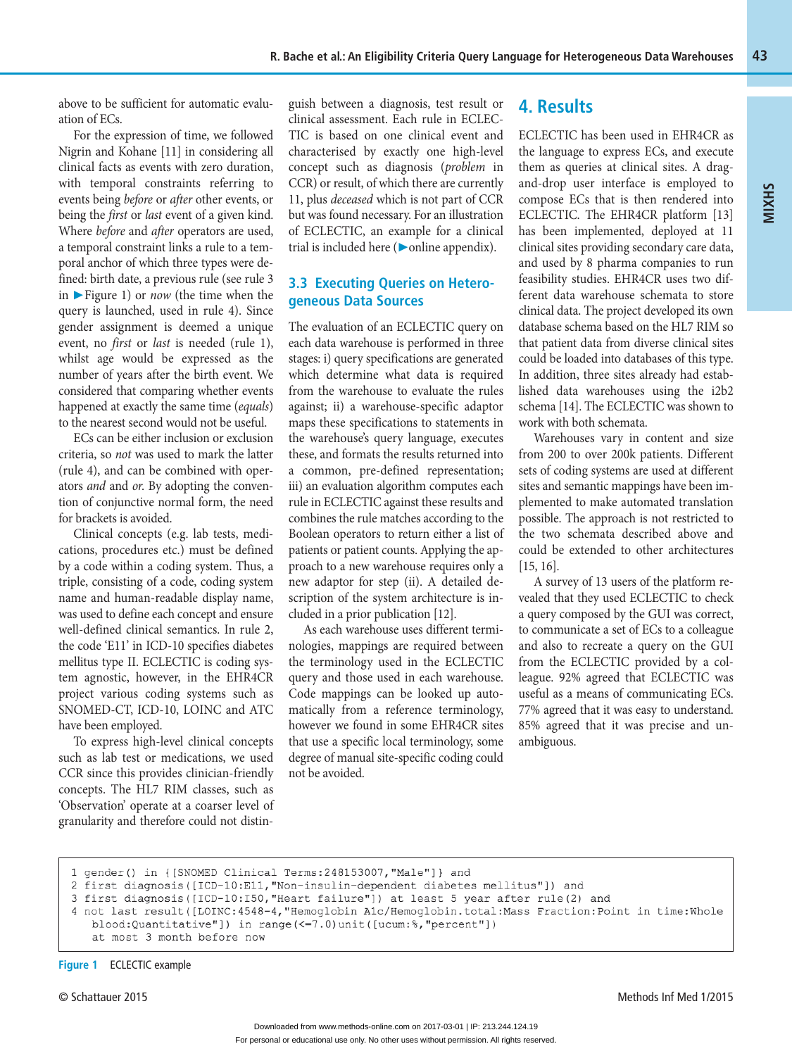above to be sufficient for automatic evaluation of ECs.

For the expression of time, we followed Nigrin and Kohane [11] in considering all clinical facts as events with zero duration, with temporal constraints referring to events being *before* or *after* other events, or being the *first* or *last* event of a given kind. Where *before* and *after* operators are used, a temporal constraint links a rule to a temporal anchor of which three types were defined: birth date, a previous rule (see rule 3 in ▶ Figure 1) or *now* (the time when the query is launched, used in rule 4). Since gender assignment is deemed a unique event, no *first* or *last* is needed (rule 1), whilst age would be expressed as the number of years after the birth event. We considered that comparing whether events happened at exactly the same time (*equals*) to the nearest second would not be useful.

ECs can be either inclusion or exclusion criteria, so *not* was used to mark the latter (rule 4), and can be combined with operators *and* and *or*. By adopting the convention of conjunctive normal form, the need for brackets is avoided.

Clinical concepts (e.g. lab tests, medications, procedures etc.) must be defined by a code within a coding system. Thus, a triple, consisting of a code, coding system name and human-readable display name, was used to define each concept and ensure well-defined clinical semantics. In rule 2, the code 'E11' in ICD-10 specifies diabetes mellitus type II. ECLECTIC is coding system agnostic, however, in the EHR4CR project various coding systems such as SNOMED-CT, ICD-10, LOINC and ATC have been employed.

To express high-level clinical concepts such as lab test or medications, we used CCR since this provides clinician-friendly concepts. The HL7 RIM classes, such as 'Observation' operate at a coarser level of granularity and therefore could not distinguish between a diagnosis, test result or clinical assessment. Each rule in ECLEC-TIC is based on one clinical event and characterised by exactly one high-level concept such as diagnosis (*problem* in CCR) or result, of which there are currently 11, plus *deceased* which is not part of CCR but was found necessary. For an illustration of ECLECTIC, an example for a clinical trial is included here (▶online appendix).

## **3.3 Executing Queries on Heterogeneous Data Sources**

The evaluation of an ECLECTIC query on each data warehouse is performed in three stages: i) query specifications are generated which determine what data is required from the warehouse to evaluate the rules against; ii) a warehouse-specific adaptor maps these specifications to statements in the warehouse's query language, executes these, and formats the results returned into a common, pre-defined representation; iii) an evaluation algorithm computes each rule in ECLECTIC against these results and combines the rule matches according to the Boolean operators to return either a list of patients or patient counts. Applying the approach to a new warehouse requires only a new adaptor for step (ii). A detailed description of the system architecture is included in a prior publication [12].

As each warehouse uses different terminologies, mappings are required between the terminology used in the ECLECTIC query and those used in each warehouse. Code mappings can be looked up automatically from a reference terminology, however we found in some EHR4CR sites that use a specific local terminology, some degree of manual site-specific coding could not be avoided.

## **4. Results**

ECLECTIC has been used in EHR4CR as the language to express ECs, and execute them as queries at clinical sites. A dragand-drop user interface is employed to compose ECs that is then rendered into ECLECTIC. The EHR4CR platform [13] has been implemented, deployed at 11 clinical sites providing secondary care data, and used by 8 pharma companies to run feasibility studies. EHR4CR uses two different data warehouse schemata to store clinical data. The project developed its own database schema based on the HL7 RIM so that patient data from diverse clinical sites could be loaded into databases of this type. In addition, three sites already had established data warehouses using the i2b2 schema [14]. The ECLECTIC was shown to work with both schemata.

**MIXHS**

Warehouses vary in content and size from 200 to over 200k patients. Different sets of coding systems are used at different sites and semantic mappings have been implemented to make automated translation possible. The approach is not restricted to the two schemata described above and could be extended to other architectures [15, 16].

A survey of 13 users of the platform revealed that they used ECLECTIC to check a query composed by the GUI was correct, to communicate a set of ECs to a colleague and also to recreate a query on the GUI from the ECLECTIC provided by a colleague. 92% agreed that ECLECTIC was useful as a means of communicating ECs. 77% agreed that it was easy to understand. 85% agreed that it was precise and unambiguous.

```
blood:Quantitative"]) in range(<=7.0)unit([ucum:%,"percent"])
at most 3 month before now
```
<sup>1</sup> gender() in {[SNOMED Clinical Terms: 248153007, "Male"]} and

<sup>2</sup> first diagnosis ([ICD-10:E11, "Non-insulin-dependent diabetes mellitus"]) and

<sup>3</sup> first diagnosis ([ICD-10:I50, "Heart failure"]) at least 5 year after rule (2) and

<sup>4</sup> not last result ([LOINC: 4548-4, "Hemoglobin Alc/Hemoglobin.total: Mass Fraction: Point in time: Whole